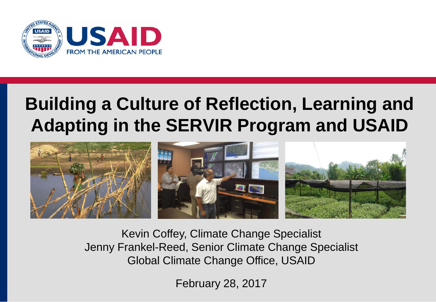

## **Building a Culture of Reflection, Learning and Adapting in the SERVIR Program and USAID**



Kevin Coffey, Climate Change Specialist Jenny Frankel-Reed, Senior Climate Change Specialist Global Climate Change Office, USAID

February 28, 2017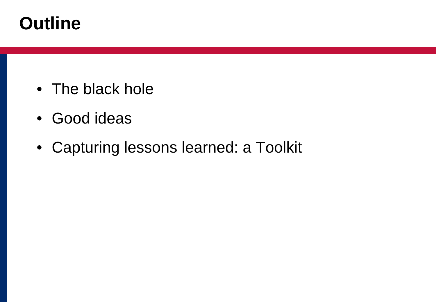### **Outline**

- The black hole
- Good ideas
- Capturing lessons learned: a Toolkit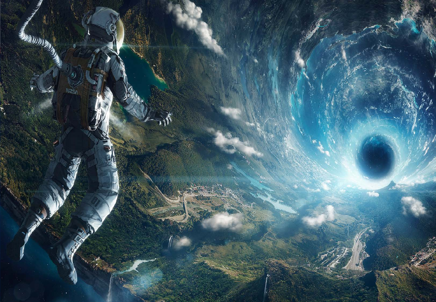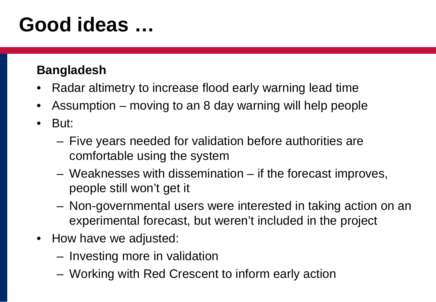## **Good ideas …**

#### **Bangladesh**

- Radar altimetry to increase flood early warning lead time
- Assumption moving to an 8 day warning will help people
- But:
	- Five years needed for validation before authorities are comfortable using the system
	- Weaknesses with dissemination if the forecast improves, people still won't get it
	- Non-governmental users were interested in taking action on an experimental forecast, but weren't included in the project
- How have we adjusted:
	- Investing more in validation
	- Working with Red Crescent to inform early action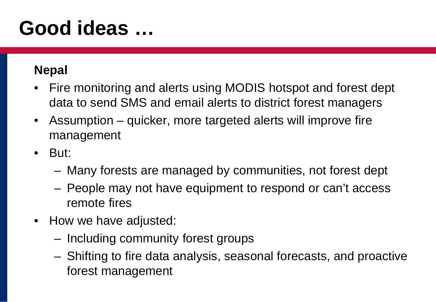## **Good ideas …**

#### **Nepal**

- Fire monitoring and alerts using MODIS hotspot and forest dept data to send SMS and email alerts to district forest managers
- Assumption quicker, more targeted alerts will improve fire management
- But:
	- Many forests are managed by communities, not forest dept
	- People may not have equipment to respond or can't access remote fires
- How we have adjusted:
	- Including community forest groups
	- Shifting to fire data analysis, seasonal forecasts, and proactive forest management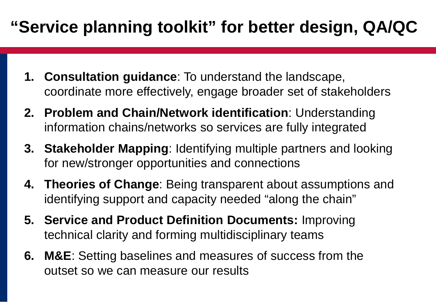### **"Service planning toolkit" for better design, QA/QC**

- **1. Consultation guidance**: To understand the landscape, coordinate more effectively, engage broader set of stakeholders
- **2. Problem and Chain/Network identification**: Understanding information chains/networks so services are fully integrated
- **3. Stakeholder Mapping**: Identifying multiple partners and looking for new/stronger opportunities and connections
- **4. Theories of Change**: Being transparent about assumptions and identifying support and capacity needed "along the chain"
- **5. Service and Product Definition Documents:** Improving technical clarity and forming multidisciplinary teams
- **6. M&E**: Setting baselines and measures of success from the outset so we can measure our results